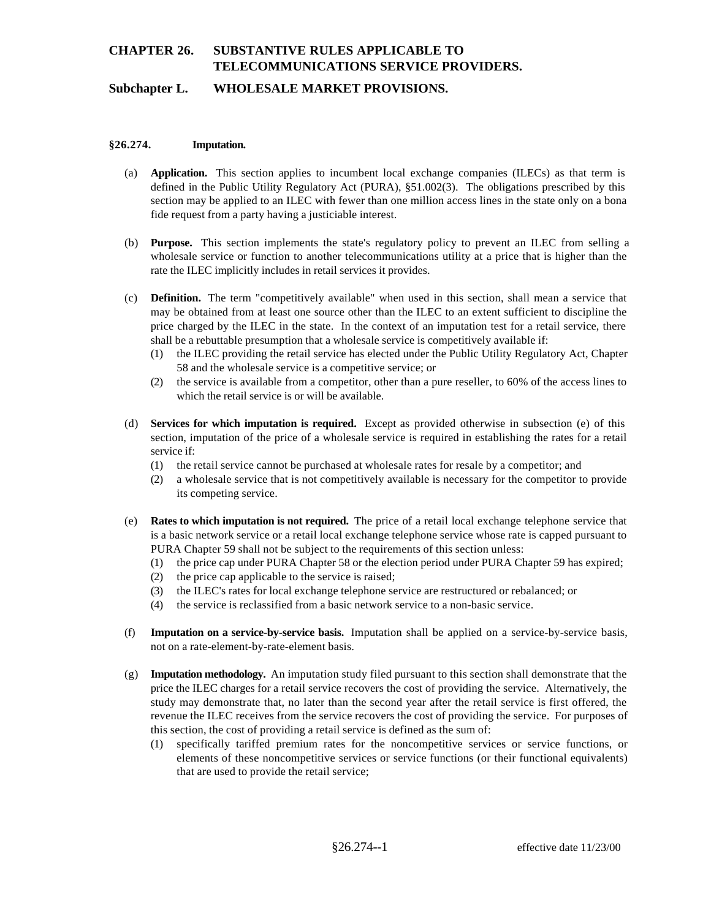# **CHAPTER 26. SUBSTANTIVE RULES APPLICABLE TO TELECOMMUNICATIONS SERVICE PROVIDERS.**

## **Subchapter L. WHOLESALE MARKET PROVISIONS.**

#### **§26.274. Imputation.**

- (a) **Application.** This section applies to incumbent local exchange companies (ILECs) as that term is defined in the Public Utility Regulatory Act (PURA), §51.002(3). The obligations prescribed by this section may be applied to an ILEC with fewer than one million access lines in the state only on a bona fide request from a party having a justiciable interest.
- (b) **Purpose.** This section implements the state's regulatory policy to prevent an ILEC from selling a wholesale service or function to another telecommunications utility at a price that is higher than the rate the ILEC implicitly includes in retail services it provides.
- (c) **Definition.** The term "competitively available" when used in this section, shall mean a service that may be obtained from at least one source other than the ILEC to an extent sufficient to discipline the price charged by the ILEC in the state. In the context of an imputation test for a retail service, there shall be a rebuttable presumption that a wholesale service is competitively available if:
	- (1) the ILEC providing the retail service has elected under the Public Utility Regulatory Act, Chapter 58 and the wholesale service is a competitive service; or
	- (2) the service is available from a competitor, other than a pure reseller, to 60% of the access lines to which the retail service is or will be available.
- (d) **Services for which imputation is required.** Except as provided otherwise in subsection (e) of this section, imputation of the price of a wholesale service is required in establishing the rates for a retail service if:
	- (1) the retail service cannot be purchased at wholesale rates for resale by a competitor; and
	- (2) a wholesale service that is not competitively available is necessary for the competitor to provide its competing service.
- (e) **Rates to which imputation is not required.** The price of a retail local exchange telephone service that is a basic network service or a retail local exchange telephone service whose rate is capped pursuant to PURA Chapter 59 shall not be subject to the requirements of this section unless:
	- (1) the price cap under PURA Chapter 58 or the election period under PURA Chapter 59 has expired;
	- (2) the price cap applicable to the service is raised;
	- (3) the ILEC's rates for local exchange telephone service are restructured or rebalanced; or
	- (4) the service is reclassified from a basic network service to a non-basic service.
- (f) **Imputation on a service-by-service basis.** Imputation shall be applied on a service-by-service basis, not on a rate-element-by-rate-element basis.
- (g) **Imputation methodology.** An imputation study filed pursuant to this section shall demonstrate that the price the ILEC charges for a retail service recovers the cost of providing the service. Alternatively, the study may demonstrate that, no later than the second year after the retail service is first offered, the revenue the ILEC receives from the service recovers the cost of providing the service. For purposes of this section, the cost of providing a retail service is defined as the sum of:
	- (1) specifically tariffed premium rates for the noncompetitive services or service functions, or elements of these noncompetitive services or service functions (or their functional equivalents) that are used to provide the retail service;